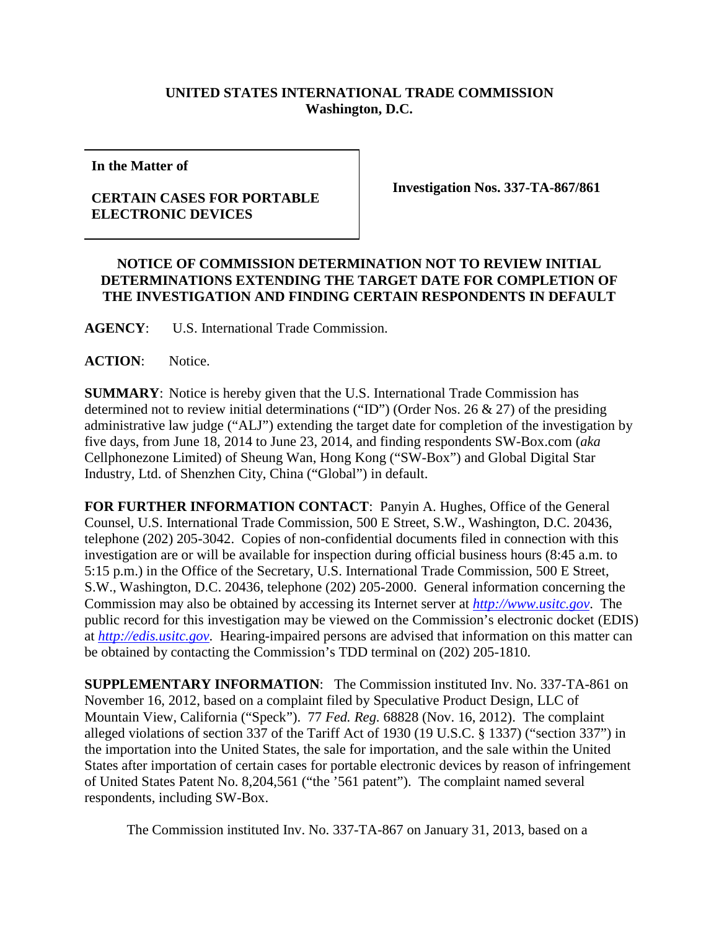## **UNITED STATES INTERNATIONAL TRADE COMMISSION Washington, D.C.**

**In the Matter of**

## **CERTAIN CASES FOR PORTABLE ELECTRONIC DEVICES**

**Investigation Nos. 337-TA-867/861**

## **NOTICE OF COMMISSION DETERMINATION NOT TO REVIEW INITIAL DETERMINATIONS EXTENDING THE TARGET DATE FOR COMPLETION OF THE INVESTIGATION AND FINDING CERTAIN RESPONDENTS IN DEFAULT**

**AGENCY**: U.S. International Trade Commission.

**ACTION**: Notice.

**SUMMARY**: Notice is hereby given that the U.S. International Trade Commission has determined not to review initial determinations ("ID") (Order Nos. 26 & 27) of the presiding administrative law judge ("ALJ") extending the target date for completion of the investigation by five days, from June 18, 2014 to June 23, 2014, and finding respondents SW-Box.com (*aka* Cellphonezone Limited) of Sheung Wan, Hong Kong ("SW-Box") and Global Digital Star Industry, Ltd. of Shenzhen City, China ("Global") in default.

**FOR FURTHER INFORMATION CONTACT**: Panyin A. Hughes, Office of the General Counsel, U.S. International Trade Commission, 500 E Street, S.W., Washington, D.C. 20436, telephone (202) 205-3042. Copies of non-confidential documents filed in connection with this investigation are or will be available for inspection during official business hours (8:45 a.m. to 5:15 p.m.) in the Office of the Secretary, U.S. International Trade Commission, 500 E Street, S.W., Washington, D.C. 20436, telephone (202) 205-2000. General information concerning the Commission may also be obtained by accessing its Internet server at *[http://www.usitc.gov](http://www.usitc.gov/)*. The public record for this investigation may be viewed on the Commission's electronic docket (EDIS) at *[http://edis.usitc.gov](http://edis.usitc.gov/)*. Hearing-impaired persons are advised that information on this matter can be obtained by contacting the Commission's TDD terminal on (202) 205-1810.

**SUPPLEMENTARY INFORMATION**: The Commission instituted Inv. No. 337-TA-861 on November 16, 2012, based on a complaint filed by Speculative Product Design, LLC of Mountain View, California ("Speck"). 77 *Fed. Reg.* 68828 (Nov. 16, 2012). The complaint alleged violations of section 337 of the Tariff Act of 1930 (19 U.S.C. § 1337) ("section 337") in the importation into the United States, the sale for importation, and the sale within the United States after importation of certain cases for portable electronic devices by reason of infringement of United States Patent No. 8,204,561 ("the '561 patent"). The complaint named several respondents, including SW-Box.

The Commission instituted Inv. No. 337-TA-867 on January 31, 2013, based on a